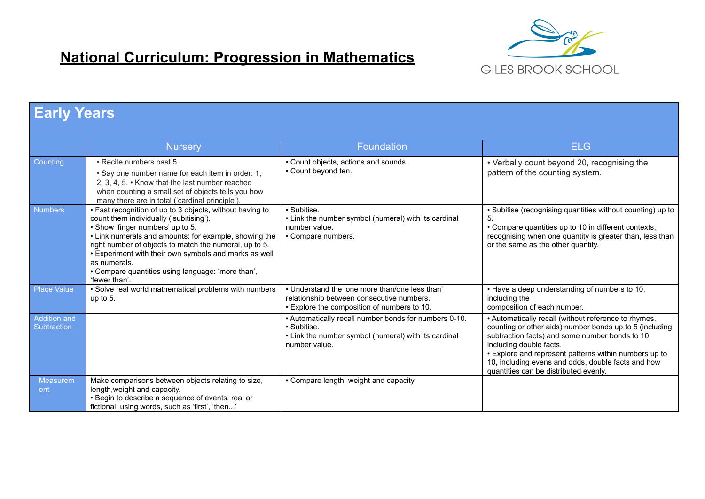

## **National Curriculum: Progression in Mathematics**

|                             | <b>Early Years</b>                                                                                                                                                                                                                                                                                                                                                                                        |                                                                                                                                               |                                                                                                                                                                                                                                                                                                                                                       |  |  |
|-----------------------------|-----------------------------------------------------------------------------------------------------------------------------------------------------------------------------------------------------------------------------------------------------------------------------------------------------------------------------------------------------------------------------------------------------------|-----------------------------------------------------------------------------------------------------------------------------------------------|-------------------------------------------------------------------------------------------------------------------------------------------------------------------------------------------------------------------------------------------------------------------------------------------------------------------------------------------------------|--|--|
|                             |                                                                                                                                                                                                                                                                                                                                                                                                           |                                                                                                                                               |                                                                                                                                                                                                                                                                                                                                                       |  |  |
|                             | <b>Nursery</b>                                                                                                                                                                                                                                                                                                                                                                                            | <b>Foundation</b>                                                                                                                             | <b>ELG</b>                                                                                                                                                                                                                                                                                                                                            |  |  |
| Counting                    | · Recite numbers past 5.<br>• Say one number name for each item in order: 1,<br>2, 3, 4, 5. • Know that the last number reached<br>when counting a small set of objects tells you how<br>many there are in total ('cardinal principle')                                                                                                                                                                   | • Count objects, actions and sounds.<br>• Count beyond ten.                                                                                   | • Verbally count beyond 20, recognising the<br>pattern of the counting system.                                                                                                                                                                                                                                                                        |  |  |
| <b>Numbers</b>              | • Fast recognition of up to 3 objects, without having to<br>count them individually ('subitising').<br>. Show 'finger numbers' up to 5.<br>• Link numerals and amounts: for example, showing the<br>right number of objects to match the numeral, up to 5.<br>. Experiment with their own symbols and marks as well<br>as numerals.<br>• Compare quantities using language: 'more than',<br>'fewer than'. | · Subitise.<br>• Link the number symbol (numeral) with its cardinal<br>number value.<br>• Compare numbers.                                    | • Subitise (recognising quantities without counting) up to<br>5.<br>• Compare quantities up to 10 in different contexts,<br>recognising when one quantity is greater than, less than<br>or the same as the other quantity.                                                                                                                            |  |  |
| <b>Place Value</b>          | • Solve real world mathematical problems with numbers<br>up to $5$ .                                                                                                                                                                                                                                                                                                                                      | • Understand the 'one more than/one less than'<br>relationship between consecutive numbers.<br>• Explore the composition of numbers to 10.    | • Have a deep understanding of numbers to 10,<br>including the<br>composition of each number.                                                                                                                                                                                                                                                         |  |  |
| Addition and<br>Subtraction |                                                                                                                                                                                                                                                                                                                                                                                                           | • Automatically recall number bonds for numbers 0-10.<br>· Subitise.<br>• Link the number symbol (numeral) with its cardinal<br>number value. | • Automatically recall (without reference to rhymes,<br>counting or other aids) number bonds up to 5 (including<br>subtraction facts) and some number bonds to 10,<br>including double facts.<br>. Explore and represent patterns within numbers up to<br>10, including evens and odds, double facts and how<br>quantities can be distributed evenly. |  |  |
| <b>Measurem</b><br>ent      | Make comparisons between objects relating to size,<br>length, weight and capacity.<br>· Begin to describe a sequence of events, real or<br>fictional, using words, such as 'first', 'then'                                                                                                                                                                                                                | • Compare length, weight and capacity.                                                                                                        |                                                                                                                                                                                                                                                                                                                                                       |  |  |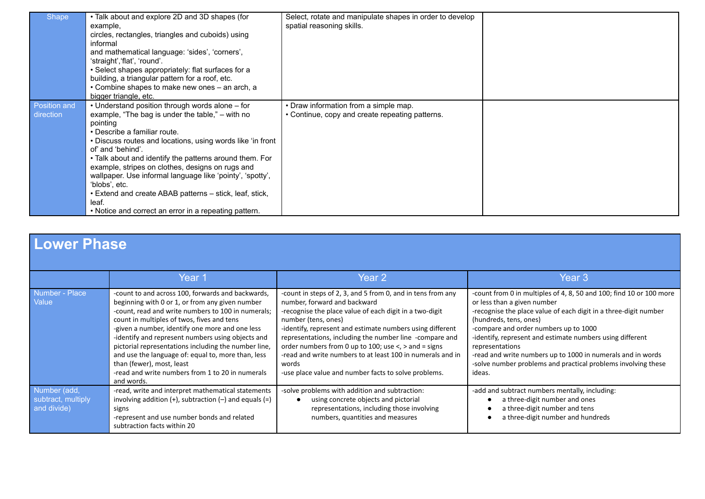| <b>Shape</b>              | • Talk about and explore 2D and 3D shapes (for<br>example,<br>circles, rectangles, triangles and cuboids) using<br>informal<br>and mathematical language: 'sides', 'corners',<br>'straight','flat', 'round'.<br>• Select shapes appropriately: flat surfaces for a<br>building, a triangular pattern for a roof, etc.<br>• Combine shapes to make new ones - an arch, a<br>bigger triangle, etc.                                                                                                                                                            | Select, rotate and manipulate shapes in order to develop<br>spatial reasoning skills.    |  |
|---------------------------|-------------------------------------------------------------------------------------------------------------------------------------------------------------------------------------------------------------------------------------------------------------------------------------------------------------------------------------------------------------------------------------------------------------------------------------------------------------------------------------------------------------------------------------------------------------|------------------------------------------------------------------------------------------|--|
| Position and<br>direction | • Understand position through words alone – for<br>example, "The bag is under the table," – with no<br>pointing<br>• Describe a familiar route.<br>• Discuss routes and locations, using words like 'in front<br>of and 'behind'.<br>• Talk about and identify the patterns around them. For<br>example, stripes on clothes, designs on rugs and<br>wallpaper. Use informal language like 'pointy', 'spotty',<br>'blobs', etc.<br>• Extend and create ABAB patterns – stick, leaf, stick,<br>leaf.<br>• Notice and correct an error in a repeating pattern. | • Draw information from a simple map.<br>• Continue, copy and create repeating patterns. |  |

| Lower Phase                                       |                                                                                                                                                                                                                                                                                                                                                                                                                                                                                                                               |                                                                                                                                                                                                                                                                                                                                                                                                                                                                                                     |                                                                                                                                                                                                                                                                                                                                                                                                                                                                     |  |
|---------------------------------------------------|-------------------------------------------------------------------------------------------------------------------------------------------------------------------------------------------------------------------------------------------------------------------------------------------------------------------------------------------------------------------------------------------------------------------------------------------------------------------------------------------------------------------------------|-----------------------------------------------------------------------------------------------------------------------------------------------------------------------------------------------------------------------------------------------------------------------------------------------------------------------------------------------------------------------------------------------------------------------------------------------------------------------------------------------------|---------------------------------------------------------------------------------------------------------------------------------------------------------------------------------------------------------------------------------------------------------------------------------------------------------------------------------------------------------------------------------------------------------------------------------------------------------------------|--|
|                                                   | Year 1                                                                                                                                                                                                                                                                                                                                                                                                                                                                                                                        | Year <sub>2</sub>                                                                                                                                                                                                                                                                                                                                                                                                                                                                                   | Year <sub>3</sub>                                                                                                                                                                                                                                                                                                                                                                                                                                                   |  |
| Number - Place<br>Value                           | -count to and across 100, forwards and backwards,<br>beginning with 0 or 1, or from any given number<br>-count, read and write numbers to 100 in numerals;<br>count in multiples of twos, fives and tens<br>-given a number, identify one more and one less<br>-identify and represent numbers using objects and<br>pictorial representations including the number line,<br>and use the language of: equal to, more than, less<br>than (fewer), most, least<br>-read and write numbers from 1 to 20 in numerals<br>and words. | -count in steps of 2, 3, and 5 from 0, and in tens from any<br>number, forward and backward<br>-recognise the place value of each digit in a two-digit<br>number (tens, ones)<br>-identify, represent and estimate numbers using different<br>representations, including the number line -compare and<br>order numbers from 0 up to 100; use $\lt$ , $>$ and = signs<br>-read and write numbers to at least 100 in numerals and in<br>words<br>-use place value and number facts to solve problems. | -count from 0 in multiples of 4, 8, 50 and 100; find 10 or 100 more<br>or less than a given number<br>-recognise the place value of each digit in a three-digit number<br>(hundreds, tens, ones)<br>-compare and order numbers up to 1000<br>-identify, represent and estimate numbers using different<br>representations<br>-read and write numbers up to 1000 in numerals and in words<br>-solve number problems and practical problems involving these<br>ideas. |  |
| Number (add,<br>subtract, multiply<br>and divide) | -read, write and interpret mathematical statements<br>involving addition $(+)$ , subtraction $(-)$ and equals $(=)$<br>signs<br>-represent and use number bonds and related<br>subtraction facts within 20                                                                                                                                                                                                                                                                                                                    | -solve problems with addition and subtraction:<br>using concrete objects and pictorial<br>representations, including those involving<br>numbers, quantities and measures                                                                                                                                                                                                                                                                                                                            | -add and subtract numbers mentally, including:<br>a three-digit number and ones<br>a three-digit number and tens<br>a three-digit number and hundreds                                                                                                                                                                                                                                                                                                               |  |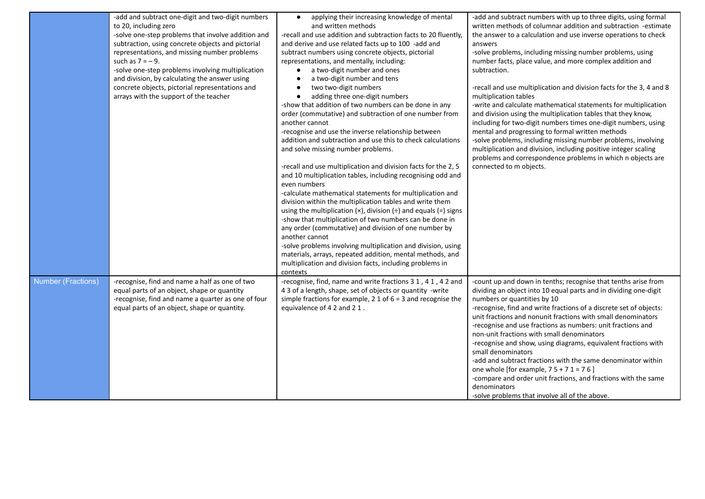|                           | -add and subtract one-digit and two-digit numbers<br>to 20, including zero<br>-solve one-step problems that involve addition and<br>subtraction, using concrete objects and pictorial<br>representations, and missing number problems<br>such as $7 = -9$ .<br>-solve one-step problems involving multiplication<br>and division, by calculating the answer using<br>concrete objects, pictorial representations and<br>arrays with the support of the teacher | applying their increasing knowledge of mental<br>$\bullet$<br>and written methods<br>-recall and use addition and subtraction facts to 20 fluently,<br>and derive and use related facts up to 100 -add and<br>subtract numbers using concrete objects, pictorial<br>representations, and mentally, including:<br>a two-digit number and ones<br>$\bullet$<br>a two-digit number and tens<br>$\bullet$<br>two two-digit numbers<br>$\bullet$<br>adding three one-digit numbers<br>$\bullet$<br>-show that addition of two numbers can be done in any<br>order (commutative) and subtraction of one number from<br>another cannot<br>-recognise and use the inverse relationship between<br>addition and subtraction and use this to check calculations<br>and solve missing number problems.<br>-recall and use multiplication and division facts for the 2, 5<br>and 10 multiplication tables, including recognising odd and<br>even numbers<br>-calculate mathematical statements for multiplication and<br>division within the multiplication tables and write them<br>using the multiplication $(x)$ , division $(+)$ and equals $(=)$ signs<br>-show that multiplication of two numbers can be done in<br>any order (commutative) and division of one number by<br>another cannot<br>-solve problems involving multiplication and division, using<br>materials, arrays, repeated addition, mental methods, and<br>multiplication and division facts, including problems in | -add and subtract numbers with up to three digits, using formal<br>written methods of columnar addition and subtraction -estimate<br>the answer to a calculation and use inverse operations to check<br>answers<br>-solve problems, including missing number problems, using<br>number facts, place value, and more complex addition and<br>subtraction.<br>-recall and use multiplication and division facts for the 3, 4 and 8<br>multiplication tables<br>-write and calculate mathematical statements for multiplication<br>and division using the multiplication tables that they know,<br>including for two-digit numbers times one-digit numbers, using<br>mental and progressing to formal written methods<br>-solve problems, including missing number problems, involving<br>multiplication and division, including positive integer scaling<br>problems and correspondence problems in which n objects are<br>connected to m objects. |
|---------------------------|----------------------------------------------------------------------------------------------------------------------------------------------------------------------------------------------------------------------------------------------------------------------------------------------------------------------------------------------------------------------------------------------------------------------------------------------------------------|--------------------------------------------------------------------------------------------------------------------------------------------------------------------------------------------------------------------------------------------------------------------------------------------------------------------------------------------------------------------------------------------------------------------------------------------------------------------------------------------------------------------------------------------------------------------------------------------------------------------------------------------------------------------------------------------------------------------------------------------------------------------------------------------------------------------------------------------------------------------------------------------------------------------------------------------------------------------------------------------------------------------------------------------------------------------------------------------------------------------------------------------------------------------------------------------------------------------------------------------------------------------------------------------------------------------------------------------------------------------------------------------------------------------------------------------------------------------------------|--------------------------------------------------------------------------------------------------------------------------------------------------------------------------------------------------------------------------------------------------------------------------------------------------------------------------------------------------------------------------------------------------------------------------------------------------------------------------------------------------------------------------------------------------------------------------------------------------------------------------------------------------------------------------------------------------------------------------------------------------------------------------------------------------------------------------------------------------------------------------------------------------------------------------------------------------|
| <b>Number (Fractions)</b> | -recognise, find and name a half as one of two<br>equal parts of an object, shape or quantity<br>-recognise, find and name a quarter as one of four<br>equal parts of an object, shape or quantity.                                                                                                                                                                                                                                                            | contexts<br>-recognise, find, name and write fractions 3 1, 4 1, 4 2 and<br>4 3 of a length, shape, set of objects or quantity -write<br>simple fractions for example, 2 1 of $6 = 3$ and recognise the<br>equivalence of 4 2 and 2 1.                                                                                                                                                                                                                                                                                                                                                                                                                                                                                                                                                                                                                                                                                                                                                                                                                                                                                                                                                                                                                                                                                                                                                                                                                                         | -count up and down in tenths; recognise that tenths arise from<br>dividing an object into 10 equal parts and in dividing one-digit<br>numbers or quantities by 10<br>-recognise, find and write fractions of a discrete set of objects:<br>unit fractions and nonunit fractions with small denominators<br>-recognise and use fractions as numbers: unit fractions and<br>non-unit fractions with small denominators<br>-recognise and show, using diagrams, equivalent fractions with<br>small denominators<br>-add and subtract fractions with the same denominator within<br>one whole [for example, $75 + 71 = 76$ ]<br>-compare and order unit fractions, and fractions with the same<br>denominators<br>-solve problems that involve all of the above.                                                                                                                                                                                     |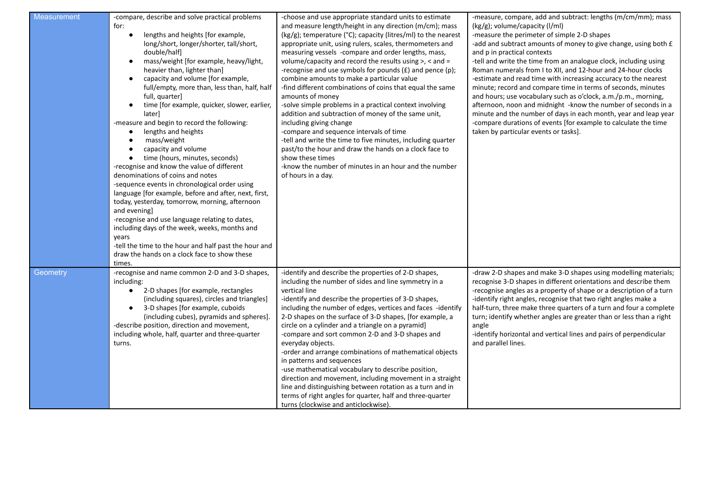| Measurement | -compare, describe and solve practical problems<br>for:<br>lengths and heights [for example,<br>long/short, longer/shorter, tall/short,<br>double/half<br>mass/weight [for example, heavy/light,<br>$\bullet$<br>heavier than, lighter than]<br>capacity and volume [for example,<br>$\bullet$<br>full/empty, more than, less than, half, half<br>full, quarter]<br>time [for example, quicker, slower, earlier,<br>$\bullet$<br>laterl<br>-measure and begin to record the following:<br>lengths and heights<br>mass/weight<br>capacity and volume<br>time (hours, minutes, seconds)<br>-recognise and know the value of different<br>denominations of coins and notes<br>-sequence events in chronological order using<br>language [for example, before and after, next, first,<br>today, yesterday, tomorrow, morning, afternoon<br>and evening]<br>-recognise and use language relating to dates,<br>including days of the week, weeks, months and<br>years<br>-tell the time to the hour and half past the hour and<br>draw the hands on a clock face to show these | -choose and use appropriate standard units to estimate<br>and measure length/height in any direction (m/cm); mass<br>(kg/g); temperature (°C); capacity (litres/ml) to the nearest<br>appropriate unit, using rulers, scales, thermometers and<br>measuring vessels -compare and order lengths, mass,<br>volume/capacity and record the results using $>$ , $<$ and $=$<br>-recognise and use symbols for pounds (£) and pence (p);<br>combine amounts to make a particular value<br>-find different combinations of coins that equal the same<br>amounts of money<br>-solve simple problems in a practical context involving<br>addition and subtraction of money of the same unit,<br>including giving change<br>-compare and sequence intervals of time<br>-tell and write the time to five minutes, including quarter<br>past/to the hour and draw the hands on a clock face to<br>show these times<br>-know the number of minutes in an hour and the number<br>of hours in a day. | -measure, compare, add and subtract: lengths (m/cm/mm); mass<br>(kg/g); volume/capacity (I/ml)<br>-measure the perimeter of simple 2-D shapes<br>-add and subtract amounts of money to give change, using both £<br>and p in practical contexts<br>-tell and write the time from an analogue clock, including using<br>Roman numerals from I to XII, and 12-hour and 24-hour clocks<br>-estimate and read time with increasing accuracy to the nearest<br>minute; record and compare time in terms of seconds, minutes<br>and hours; use vocabulary such as o'clock, a.m./p.m., morning,<br>afternoon, noon and midnight -know the number of seconds in a<br>minute and the number of days in each month, year and leap year<br>-compare durations of events [for example to calculate the time<br>taken by particular events or tasks]. |
|-------------|--------------------------------------------------------------------------------------------------------------------------------------------------------------------------------------------------------------------------------------------------------------------------------------------------------------------------------------------------------------------------------------------------------------------------------------------------------------------------------------------------------------------------------------------------------------------------------------------------------------------------------------------------------------------------------------------------------------------------------------------------------------------------------------------------------------------------------------------------------------------------------------------------------------------------------------------------------------------------------------------------------------------------------------------------------------------------|----------------------------------------------------------------------------------------------------------------------------------------------------------------------------------------------------------------------------------------------------------------------------------------------------------------------------------------------------------------------------------------------------------------------------------------------------------------------------------------------------------------------------------------------------------------------------------------------------------------------------------------------------------------------------------------------------------------------------------------------------------------------------------------------------------------------------------------------------------------------------------------------------------------------------------------------------------------------------------------|------------------------------------------------------------------------------------------------------------------------------------------------------------------------------------------------------------------------------------------------------------------------------------------------------------------------------------------------------------------------------------------------------------------------------------------------------------------------------------------------------------------------------------------------------------------------------------------------------------------------------------------------------------------------------------------------------------------------------------------------------------------------------------------------------------------------------------------|
| Geometry    | times.<br>-recognise and name common 2-D and 3-D shapes,<br>including:<br>2-D shapes [for example, rectangles<br>$\bullet$<br>(including squares), circles and triangles]<br>3-D shapes [for example, cuboids<br>(including cubes), pyramids and spheres].<br>-describe position, direction and movement,<br>including whole, half, quarter and three-quarter<br>turns.                                                                                                                                                                                                                                                                                                                                                                                                                                                                                                                                                                                                                                                                                                  | -identify and describe the properties of 2-D shapes,<br>including the number of sides and line symmetry in a<br>vertical line<br>-identify and describe the properties of 3-D shapes,<br>including the number of edges, vertices and faces -identify<br>2-D shapes on the surface of 3-D shapes, [for example, a<br>circle on a cylinder and a triangle on a pyramid]<br>-compare and sort common 2-D and 3-D shapes and<br>everyday objects.<br>-order and arrange combinations of mathematical objects<br>in patterns and sequences<br>-use mathematical vocabulary to describe position,<br>direction and movement, including movement in a straight<br>line and distinguishing between rotation as a turn and in<br>terms of right angles for quarter, half and three-quarter<br>turns (clockwise and anticlockwise).                                                                                                                                                              | -draw 2-D shapes and make 3-D shapes using modelling materials;<br>recognise 3-D shapes in different orientations and describe them<br>-recognise angles as a property of shape or a description of a turn<br>-identify right angles, recognise that two right angles make a<br>half-turn, three make three quarters of a turn and four a complete<br>turn; identify whether angles are greater than or less than a right<br>angle<br>-identify horizontal and vertical lines and pairs of perpendicular<br>and parallel lines.                                                                                                                                                                                                                                                                                                          |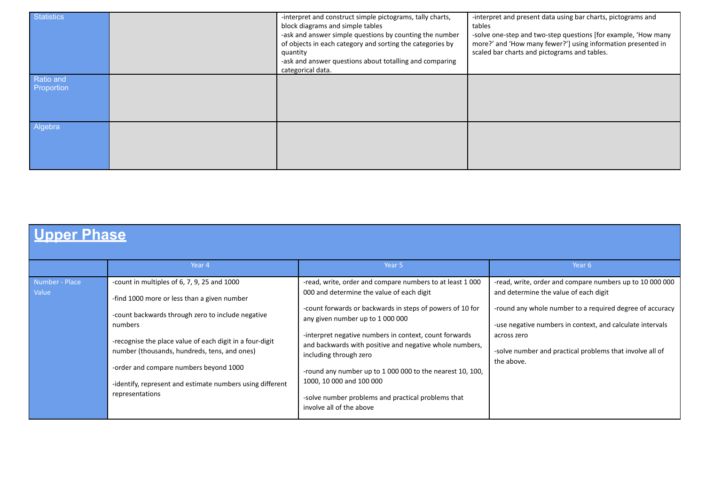| <b>Statistics</b>       | -interpret and construct simple pictograms, tally charts,<br>block diagrams and simple tables<br>-ask and answer simple questions by counting the number<br>of objects in each category and sorting the categories by<br>quantity<br>-ask and answer questions about totalling and comparing<br>categorical data. | -interpret and present data using bar charts, pictograms and<br>tables<br>-solve one-step and two-step questions [for example, 'How many<br>more?' and 'How many fewer?'] using information presented in<br>scaled bar charts and pictograms and tables. |
|-------------------------|-------------------------------------------------------------------------------------------------------------------------------------------------------------------------------------------------------------------------------------------------------------------------------------------------------------------|----------------------------------------------------------------------------------------------------------------------------------------------------------------------------------------------------------------------------------------------------------|
| Ratio and<br>Proportion |                                                                                                                                                                                                                                                                                                                   |                                                                                                                                                                                                                                                          |
| Algebra                 |                                                                                                                                                                                                                                                                                                                   |                                                                                                                                                                                                                                                          |

## **Upper Phase**

|                                                                                                                                                                                                                                                                                          | Year 4                                                                                                                                                                         | Year 5                                                                                | Year 6                                                    |
|------------------------------------------------------------------------------------------------------------------------------------------------------------------------------------------------------------------------------------------------------------------------------------------|--------------------------------------------------------------------------------------------------------------------------------------------------------------------------------|---------------------------------------------------------------------------------------|-----------------------------------------------------------|
|                                                                                                                                                                                                                                                                                          |                                                                                                                                                                                |                                                                                       |                                                           |
| Number - Place                                                                                                                                                                                                                                                                           | -count in multiples of 6, 7, 9, 25 and 1000                                                                                                                                    | -read, write, order and compare numbers to at least 1 000                             | -read, write, order and compare numbers up to 10 000 000  |
| Value                                                                                                                                                                                                                                                                                    | -find 1000 more or less than a given number                                                                                                                                    | 000 and determine the value of each digit                                             | and determine the value of each digit                     |
|                                                                                                                                                                                                                                                                                          | -count backwards through zero to include negative                                                                                                                              | -count forwards or backwards in steps of powers of 10 for                             | -round any whole number to a required degree of accuracy  |
|                                                                                                                                                                                                                                                                                          | numbers                                                                                                                                                                        | any given number up to 1 000 000                                                      | -use negative numbers in context, and calculate intervals |
| -recognise the place value of each digit in a four-digit<br>number (thousands, hundreds, tens, and ones)<br>including through zero<br>-order and compare numbers beyond 1000<br>1000, 10 000 and 100 000<br>-identify, represent and estimate numbers using different<br>representations | -interpret negative numbers in context, count forwards<br>and backwards with positive and negative whole numbers,<br>-round any number up to 1 000 000 to the nearest 10, 100, | across zero<br>-solve number and practical problems that involve all of<br>the above. |                                                           |
|                                                                                                                                                                                                                                                                                          |                                                                                                                                                                                | -solve number problems and practical problems that<br>involve all of the above        |                                                           |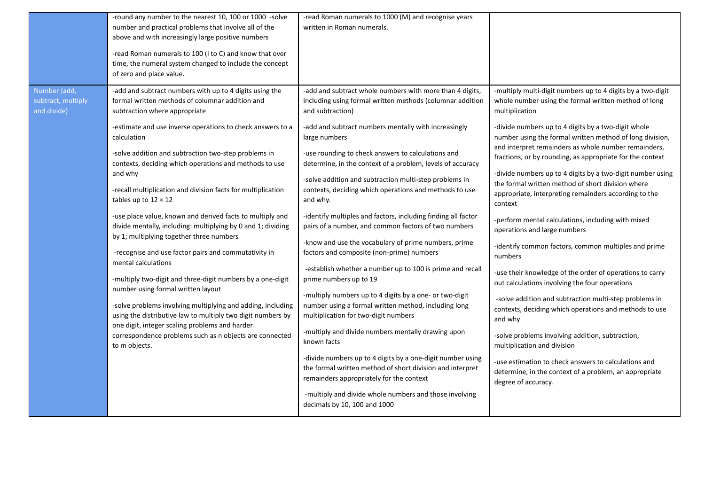|                    | -round any number to the nearest 10, 100 or 1000 -solve<br>number and practical problems that involve all of the<br>above and with increasingly large positive numbers<br>-read Roman numerals to 100 (I to C) and know that over<br>time, the numeral system changed to include the concept<br>of zero and place value.                                                                                                                                                                                                                                                                                             | -read Roman numerals to 1000 (M) and recognise years<br>written in Roman numerals.                                                                                                                                                                                                                                                                                                                                                                                                                                                                                                                                                                                                                                                                                                                                 |                                                                                                                                                                                                                                                                                                                                                                                                                                                                                                                                                                                                                                           |
|--------------------|----------------------------------------------------------------------------------------------------------------------------------------------------------------------------------------------------------------------------------------------------------------------------------------------------------------------------------------------------------------------------------------------------------------------------------------------------------------------------------------------------------------------------------------------------------------------------------------------------------------------|--------------------------------------------------------------------------------------------------------------------------------------------------------------------------------------------------------------------------------------------------------------------------------------------------------------------------------------------------------------------------------------------------------------------------------------------------------------------------------------------------------------------------------------------------------------------------------------------------------------------------------------------------------------------------------------------------------------------------------------------------------------------------------------------------------------------|-------------------------------------------------------------------------------------------------------------------------------------------------------------------------------------------------------------------------------------------------------------------------------------------------------------------------------------------------------------------------------------------------------------------------------------------------------------------------------------------------------------------------------------------------------------------------------------------------------------------------------------------|
| Number (add,       | -add and subtract numbers with up to 4 digits using the                                                                                                                                                                                                                                                                                                                                                                                                                                                                                                                                                              | -add and subtract whole numbers with more than 4 digits,                                                                                                                                                                                                                                                                                                                                                                                                                                                                                                                                                                                                                                                                                                                                                           | -multiply multi-digit numbers up to 4 digits by a two-digit                                                                                                                                                                                                                                                                                                                                                                                                                                                                                                                                                                               |
| subtract, multiply | formal written methods of columnar addition and                                                                                                                                                                                                                                                                                                                                                                                                                                                                                                                                                                      | including using formal written methods (columnar addition                                                                                                                                                                                                                                                                                                                                                                                                                                                                                                                                                                                                                                                                                                                                                          | whole number using the formal written method of long                                                                                                                                                                                                                                                                                                                                                                                                                                                                                                                                                                                      |
| and divide)        | subtraction where appropriate                                                                                                                                                                                                                                                                                                                                                                                                                                                                                                                                                                                        | and subtraction)                                                                                                                                                                                                                                                                                                                                                                                                                                                                                                                                                                                                                                                                                                                                                                                                   | multiplication                                                                                                                                                                                                                                                                                                                                                                                                                                                                                                                                                                                                                            |
|                    | -estimate and use inverse operations to check answers to a                                                                                                                                                                                                                                                                                                                                                                                                                                                                                                                                                           | -add and subtract numbers mentally with increasingly                                                                                                                                                                                                                                                                                                                                                                                                                                                                                                                                                                                                                                                                                                                                                               | -divide numbers up to 4 digits by a two-digit whole                                                                                                                                                                                                                                                                                                                                                                                                                                                                                                                                                                                       |
|                    | calculation                                                                                                                                                                                                                                                                                                                                                                                                                                                                                                                                                                                                          | large numbers                                                                                                                                                                                                                                                                                                                                                                                                                                                                                                                                                                                                                                                                                                                                                                                                      | number using the formal written method of long division,                                                                                                                                                                                                                                                                                                                                                                                                                                                                                                                                                                                  |
|                    | -solve addition and subtraction two-step problems in                                                                                                                                                                                                                                                                                                                                                                                                                                                                                                                                                                 | -use rounding to check answers to calculations and                                                                                                                                                                                                                                                                                                                                                                                                                                                                                                                                                                                                                                                                                                                                                                 | and interpret remainders as whole number remainders,                                                                                                                                                                                                                                                                                                                                                                                                                                                                                                                                                                                      |
|                    | contexts, deciding which operations and methods to use                                                                                                                                                                                                                                                                                                                                                                                                                                                                                                                                                               | determine, in the context of a problem, levels of accuracy                                                                                                                                                                                                                                                                                                                                                                                                                                                                                                                                                                                                                                                                                                                                                         | fractions, or by rounding, as appropriate for the context                                                                                                                                                                                                                                                                                                                                                                                                                                                                                                                                                                                 |
|                    | and why                                                                                                                                                                                                                                                                                                                                                                                                                                                                                                                                                                                                              | -solve addition and subtraction multi-step problems in                                                                                                                                                                                                                                                                                                                                                                                                                                                                                                                                                                                                                                                                                                                                                             | -divide numbers up to 4 digits by a two-digit number using                                                                                                                                                                                                                                                                                                                                                                                                                                                                                                                                                                                |
|                    | -recall multiplication and division facts for multiplication                                                                                                                                                                                                                                                                                                                                                                                                                                                                                                                                                         | contexts, deciding which operations and methods to use                                                                                                                                                                                                                                                                                                                                                                                                                                                                                                                                                                                                                                                                                                                                                             | the formal written method of short division where                                                                                                                                                                                                                                                                                                                                                                                                                                                                                                                                                                                         |
|                    | tables up to $12 \times 12$                                                                                                                                                                                                                                                                                                                                                                                                                                                                                                                                                                                          | and why.                                                                                                                                                                                                                                                                                                                                                                                                                                                                                                                                                                                                                                                                                                                                                                                                           | appropriate, interpreting remainders according to the                                                                                                                                                                                                                                                                                                                                                                                                                                                                                                                                                                                     |
|                    | -use place value, known and derived facts to multiply and<br>divide mentally, including: multiplying by 0 and 1; dividing<br>by 1; multiplying together three numbers<br>-recognise and use factor pairs and commutativity in<br>mental calculations<br>-multiply two-digit and three-digit numbers by a one-digit<br>number using formal written layout<br>-solve problems involving multiplying and adding, including<br>using the distributive law to multiply two digit numbers by<br>one digit, integer scaling problems and harder<br>correspondence problems such as n objects are connected<br>to m objects. | -identify multiples and factors, including finding all factor<br>pairs of a number, and common factors of two numbers<br>-know and use the vocabulary of prime numbers, prime<br>factors and composite (non-prime) numbers<br>-establish whether a number up to 100 is prime and recall<br>prime numbers up to 19<br>-multiply numbers up to 4 digits by a one- or two-digit<br>number using a formal written method, including long<br>multiplication for two-digit numbers<br>-multiply and divide numbers mentally drawing upon<br>known facts<br>-divide numbers up to 4 digits by a one-digit number using<br>the formal written method of short division and interpret<br>remainders appropriately for the context<br>-multiply and divide whole numbers and those involving<br>decimals by 10, 100 and 1000 | context<br>-perform mental calculations, including with mixed<br>operations and large numbers<br>-identify common factors, common multiples and prime<br>numbers<br>-use their knowledge of the order of operations to carry<br>out calculations involving the four operations<br>-solve addition and subtraction multi-step problems in<br>contexts, deciding which operations and methods to use<br>and why<br>-solve problems involving addition, subtraction,<br>multiplication and division<br>-use estimation to check answers to calculations and<br>determine, in the context of a problem, an appropriate<br>degree of accuracy. |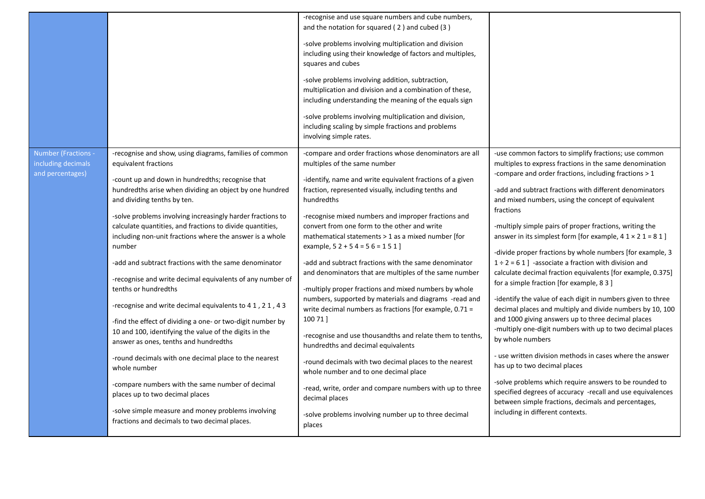|                                                               |                                                                                                                                                                                                                                                                                                                                                                                                                                                                                                                                                                                                                                                                                                                                                                                                                                                                                                                                                                                                                                                                                | -recognise and use square numbers and cube numbers,<br>and the notation for squared (2) and cubed (3)<br>-solve problems involving multiplication and division<br>including using their knowledge of factors and multiples,<br>squares and cubes<br>-solve problems involving addition, subtraction,<br>multiplication and division and a combination of these,<br>including understanding the meaning of the equals sign<br>-solve problems involving multiplication and division,<br>including scaling by simple fractions and problems<br>involving simple rates.                                                                                                                                                                                                                                                                                                                                                                                                                                                                                                                        |                                                                                                                                                                                                                                                                                                                                                                                                                                                                                                                                                                                                                                                                                                                                                                                                                                                                                                                                                                                                                                                                                                                                                                                                                                                               |
|---------------------------------------------------------------|--------------------------------------------------------------------------------------------------------------------------------------------------------------------------------------------------------------------------------------------------------------------------------------------------------------------------------------------------------------------------------------------------------------------------------------------------------------------------------------------------------------------------------------------------------------------------------------------------------------------------------------------------------------------------------------------------------------------------------------------------------------------------------------------------------------------------------------------------------------------------------------------------------------------------------------------------------------------------------------------------------------------------------------------------------------------------------|---------------------------------------------------------------------------------------------------------------------------------------------------------------------------------------------------------------------------------------------------------------------------------------------------------------------------------------------------------------------------------------------------------------------------------------------------------------------------------------------------------------------------------------------------------------------------------------------------------------------------------------------------------------------------------------------------------------------------------------------------------------------------------------------------------------------------------------------------------------------------------------------------------------------------------------------------------------------------------------------------------------------------------------------------------------------------------------------|---------------------------------------------------------------------------------------------------------------------------------------------------------------------------------------------------------------------------------------------------------------------------------------------------------------------------------------------------------------------------------------------------------------------------------------------------------------------------------------------------------------------------------------------------------------------------------------------------------------------------------------------------------------------------------------------------------------------------------------------------------------------------------------------------------------------------------------------------------------------------------------------------------------------------------------------------------------------------------------------------------------------------------------------------------------------------------------------------------------------------------------------------------------------------------------------------------------------------------------------------------------|
| Number (Fractions -<br>including decimals<br>and percentages) | -recognise and show, using diagrams, families of common<br>equivalent fractions<br>-count up and down in hundredths; recognise that<br>hundredths arise when dividing an object by one hundred<br>and dividing tenths by ten.<br>-solve problems involving increasingly harder fractions to<br>calculate quantities, and fractions to divide quantities,<br>including non-unit fractions where the answer is a whole<br>number<br>-add and subtract fractions with the same denominator<br>-recognise and write decimal equivalents of any number of<br>tenths or hundredths<br>-recognise and write decimal equivalents to 41, 21, 43<br>-find the effect of dividing a one- or two-digit number by<br>10 and 100, identifying the value of the digits in the<br>answer as ones, tenths and hundredths<br>-round decimals with one decimal place to the nearest<br>whole number<br>-compare numbers with the same number of decimal<br>places up to two decimal places<br>-solve simple measure and money problems involving<br>fractions and decimals to two decimal places. | -compare and order fractions whose denominators are all<br>multiples of the same number<br>-identify, name and write equivalent fractions of a given<br>fraction, represented visually, including tenths and<br>hundredths<br>-recognise mixed numbers and improper fractions and<br>convert from one form to the other and write<br>mathematical statements > 1 as a mixed number [for<br>example, $52 + 54 = 56 = 151$<br>-add and subtract fractions with the same denominator<br>and denominators that are multiples of the same number<br>-multiply proper fractions and mixed numbers by whole<br>numbers, supported by materials and diagrams -read and<br>write decimal numbers as fractions [for example, 0.71 =<br>100 71 ]<br>-recognise and use thousandths and relate them to tenths,<br>hundredths and decimal equivalents<br>-round decimals with two decimal places to the nearest<br>whole number and to one decimal place<br>-read, write, order and compare numbers with up to three<br>decimal places<br>-solve problems involving number up to three decimal<br>places | -use common factors to simplify fractions; use common<br>multiples to express fractions in the same denomination<br>-compare and order fractions, including fractions > 1<br>-add and subtract fractions with different denominators<br>and mixed numbers, using the concept of equivalent<br>fractions<br>-multiply simple pairs of proper fractions, writing the<br>answer in its simplest form [for example, $41 \times 21 = 81$ ]<br>-divide proper fractions by whole numbers [for example, 3<br>$1 \div 2 = 61$ ] -associate a fraction with division and<br>calculate decimal fraction equivalents [for example, 0.375]<br>for a simple fraction [for example, 8 3 ]<br>-identify the value of each digit in numbers given to three<br>decimal places and multiply and divide numbers by 10, 100<br>and 1000 giving answers up to three decimal places<br>-multiply one-digit numbers with up to two decimal places<br>by whole numbers<br>- use written division methods in cases where the answer<br>has up to two decimal places<br>-solve problems which require answers to be rounded to<br>specified degrees of accuracy -recall and use equivalences<br>between simple fractions, decimals and percentages,<br>including in different contexts. |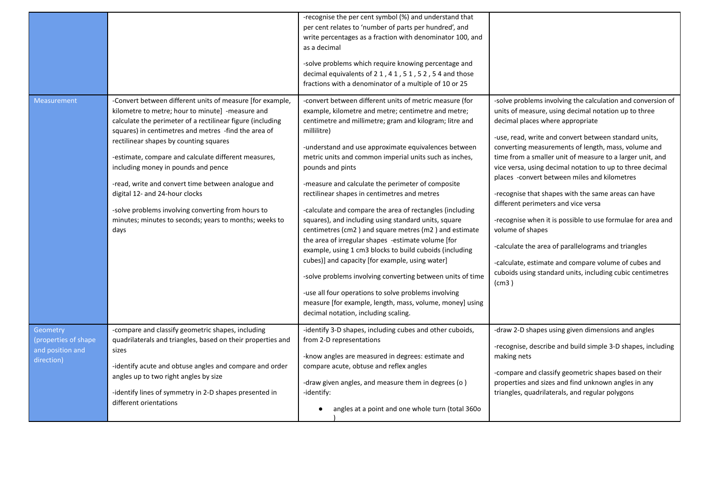|                                                                     |                                                                                                                                                                                                                                                                                                                                                                                                                                                                                                                                                                                              | -recognise the per cent symbol (%) and understand that<br>per cent relates to 'number of parts per hundred', and<br>write percentages as a fraction with denominator 100, and<br>as a decimal<br>-solve problems which require knowing percentage and<br>decimal equivalents of 21, 41, 51, 52, 54 and those<br>fractions with a denominator of a multiple of 10 or 25                                                                                                                                                                                                                                                                                                                                                                                                                                                                                                                                                                                                                                         |                                                                                                                                                                                                                                                                                                                                                                                                                                                                                                                                                                                                                                                                                                                                                                                                                         |
|---------------------------------------------------------------------|----------------------------------------------------------------------------------------------------------------------------------------------------------------------------------------------------------------------------------------------------------------------------------------------------------------------------------------------------------------------------------------------------------------------------------------------------------------------------------------------------------------------------------------------------------------------------------------------|----------------------------------------------------------------------------------------------------------------------------------------------------------------------------------------------------------------------------------------------------------------------------------------------------------------------------------------------------------------------------------------------------------------------------------------------------------------------------------------------------------------------------------------------------------------------------------------------------------------------------------------------------------------------------------------------------------------------------------------------------------------------------------------------------------------------------------------------------------------------------------------------------------------------------------------------------------------------------------------------------------------|-------------------------------------------------------------------------------------------------------------------------------------------------------------------------------------------------------------------------------------------------------------------------------------------------------------------------------------------------------------------------------------------------------------------------------------------------------------------------------------------------------------------------------------------------------------------------------------------------------------------------------------------------------------------------------------------------------------------------------------------------------------------------------------------------------------------------|
| Measurement                                                         | -Convert between different units of measure [for example,<br>kilometre to metre; hour to minute] -measure and<br>calculate the perimeter of a rectilinear figure (including<br>squares) in centimetres and metres -find the area of<br>rectilinear shapes by counting squares<br>-estimate, compare and calculate different measures,<br>including money in pounds and pence<br>-read, write and convert time between analogue and<br>digital 12- and 24-hour clocks<br>-solve problems involving converting from hours to<br>minutes; minutes to seconds; years to months; weeks to<br>days | -convert between different units of metric measure (for<br>example, kilometre and metre; centimetre and metre;<br>centimetre and millimetre; gram and kilogram; litre and<br>millilitre)<br>-understand and use approximate equivalences between<br>metric units and common imperial units such as inches,<br>pounds and pints<br>-measure and calculate the perimeter of composite<br>rectilinear shapes in centimetres and metres<br>-calculate and compare the area of rectangles (including<br>squares), and including using standard units, square<br>centimetres (cm2) and square metres (m2) and estimate<br>the area of irregular shapes -estimate volume [for<br>example, using 1 cm3 blocks to build cuboids (including<br>cubes)] and capacity [for example, using water]<br>-solve problems involving converting between units of time<br>-use all four operations to solve problems involving<br>measure [for example, length, mass, volume, money] using<br>decimal notation, including scaling. | -solve problems involving the calculation and conversion of<br>units of measure, using decimal notation up to three<br>decimal places where appropriate<br>-use, read, write and convert between standard units,<br>converting measurements of length, mass, volume and<br>time from a smaller unit of measure to a larger unit, and<br>vice versa, using decimal notation to up to three decimal<br>places -convert between miles and kilometres<br>-recognise that shapes with the same areas can have<br>different perimeters and vice versa<br>-recognise when it is possible to use formulae for area and<br>volume of shapes<br>-calculate the area of parallelograms and triangles<br>-calculate, estimate and compare volume of cubes and<br>cuboids using standard units, including cubic centimetres<br>(cm3) |
| Geometry<br>(properties of shape)<br>and position and<br>direction) | -compare and classify geometric shapes, including<br>quadrilaterals and triangles, based on their properties and<br>sizes<br>-identify acute and obtuse angles and compare and order<br>angles up to two right angles by size<br>-identify lines of symmetry in 2-D shapes presented in<br>different orientations                                                                                                                                                                                                                                                                            | -identify 3-D shapes, including cubes and other cuboids,<br>from 2-D representations<br>-know angles are measured in degrees: estimate and<br>compare acute, obtuse and reflex angles<br>-draw given angles, and measure them in degrees (o)<br>-identify:<br>angles at a point and one whole turn (total 360o                                                                                                                                                                                                                                                                                                                                                                                                                                                                                                                                                                                                                                                                                                 | -draw 2-D shapes using given dimensions and angles<br>-recognise, describe and build simple 3-D shapes, including<br>making nets<br>-compare and classify geometric shapes based on their<br>properties and sizes and find unknown angles in any<br>triangles, quadrilaterals, and regular polygons                                                                                                                                                                                                                                                                                                                                                                                                                                                                                                                     |